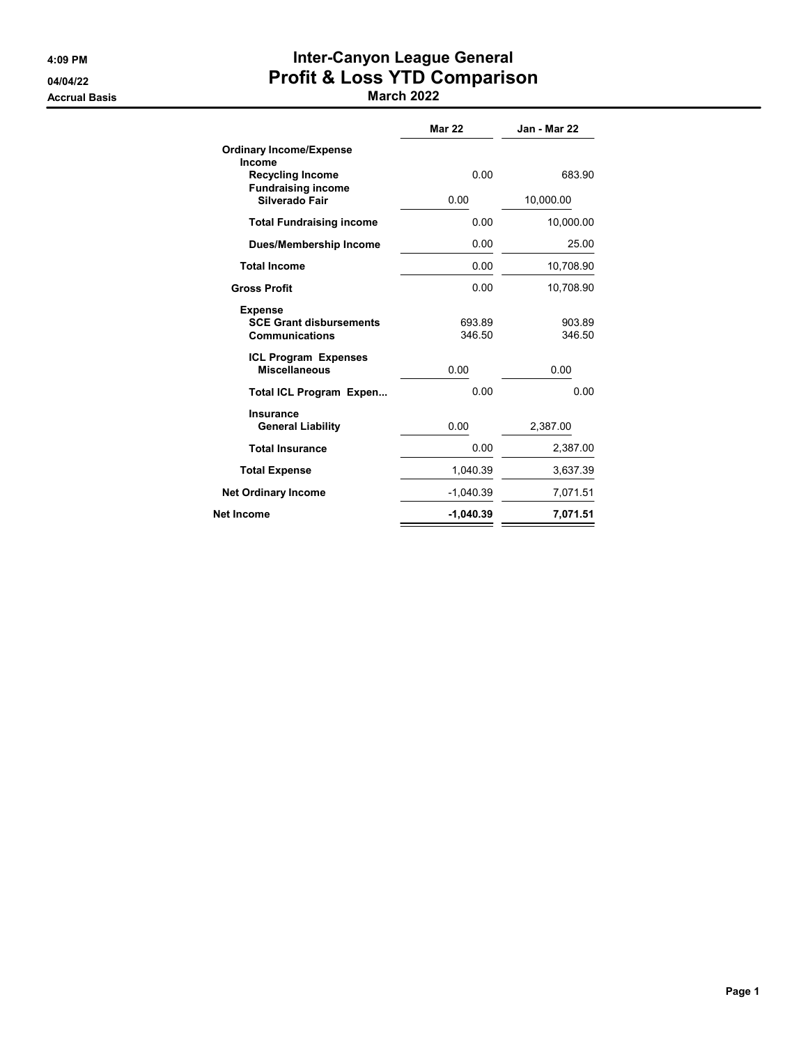Accrual Basis **March 2022** 

# 4:09 PM Inter-Canyon League General 04/04/22 Profit & Loss YTD Comparison

|                                                                           | <b>Mar 22</b>    | Jan - Mar 22     |
|---------------------------------------------------------------------------|------------------|------------------|
| <b>Ordinary Income/Expense</b><br>Income<br><b>Recycling Income</b>       | 0.00             | 683.90           |
| <b>Fundraising income</b><br>Silverado Fair                               | 0.00             | 10,000.00        |
| <b>Total Fundraising income</b>                                           | 0.00             | 10,000.00        |
| Dues/Membership Income                                                    | 0.00             | 25.00            |
| <b>Total Income</b>                                                       | 0.00             | 10,708.90        |
| <b>Gross Profit</b>                                                       | 0.00             | 10,708.90        |
| <b>Expense</b><br><b>SCE Grant disbursements</b><br><b>Communications</b> | 693.89<br>346.50 | 903.89<br>346.50 |
| <b>ICL Program Expenses</b><br><b>Miscellaneous</b>                       | 0.00             | 0.00             |
| Total ICL Program Expen                                                   | 0.00             | 0.00             |
| <b>Insurance</b><br><b>General Liability</b>                              | 0.00             | 2,387.00         |
| <b>Total Insurance</b>                                                    | 0.00             | 2,387.00         |
| <b>Total Expense</b>                                                      | 1,040.39         | 3,637.39         |
| <b>Net Ordinary Income</b>                                                | $-1,040.39$      | 7,071.51         |
| Net Income                                                                | $-1,040.39$      | 7,071.51         |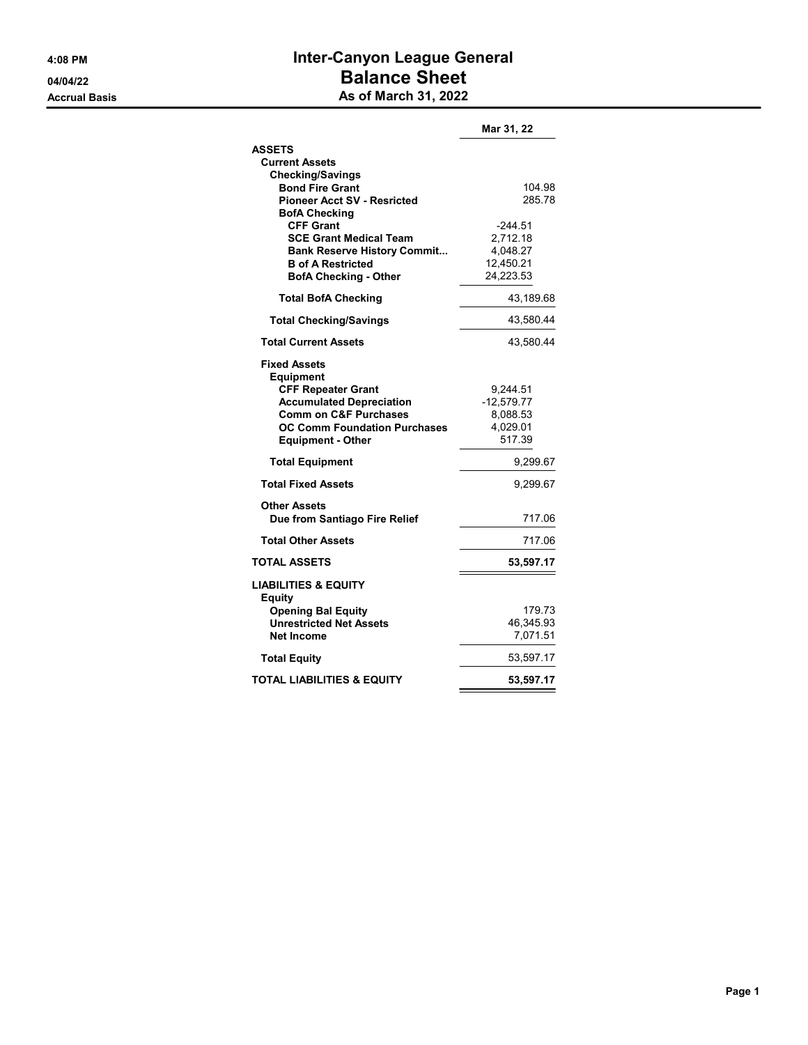## 4:08 PM **Inter-Canyon League General** 04/04/22 Balance Sheet Accrual Basis **As of March 31, 2022**

|                                                                         | Mar 31, 22           |
|-------------------------------------------------------------------------|----------------------|
| <b>ASSETS</b>                                                           |                      |
| <b>Current Assets</b>                                                   |                      |
| <b>Checking/Savings</b>                                                 |                      |
| <b>Bond Fire Grant</b>                                                  | 104.98               |
| <b>Pioneer Acct SV - Resricted</b>                                      | 285.78               |
| <b>BofA Checking</b><br><b>CFF Grant</b>                                | $-244.51$            |
| <b>SCE Grant Medical Team</b>                                           | 2,712.18             |
| <b>Bank Reserve History Commit</b>                                      | 4,048.27             |
| <b>B</b> of A Restricted                                                | 12,450.21            |
| <b>BofA Checking - Other</b>                                            | 24,223.53            |
| <b>Total BofA Checking</b>                                              | 43,189.68            |
| <b>Total Checking/Savings</b>                                           | 43,580.44            |
| <b>Total Current Assets</b>                                             | 43,580.44            |
| <b>Fixed Assets</b><br><b>Equipment</b>                                 |                      |
| <b>CFF Repeater Grant</b>                                               | 9,244.51             |
| <b>Accumulated Depreciation</b>                                         | $-12,579.77$         |
| <b>Comm on C&amp;F Purchases</b><br><b>OC Comm Foundation Purchases</b> | 8,088.53<br>4,029.01 |
| <b>Equipment - Other</b>                                                | 517.39               |
|                                                                         |                      |
| <b>Total Equipment</b>                                                  | 9,299.67             |
| <b>Total Fixed Assets</b>                                               | 9,299.67             |
| <b>Other Assets</b>                                                     |                      |
| Due from Santiago Fire Relief                                           | 717.06               |
| <b>Total Other Assets</b>                                               | 717.06               |
| <b>TOTAL ASSETS</b>                                                     | 53,597.17            |
| <b>LIABILITIES &amp; EQUITY</b><br><b>Equity</b>                        |                      |
| <b>Opening Bal Equity</b>                                               | 179.73               |
| <b>Unrestricted Net Assets</b>                                          | 46,345.93            |
| <b>Net Income</b>                                                       | 7,071.51             |
| <b>Total Equity</b>                                                     | 53,597.17            |
| TOTAL LIABILITIES & EQUITY                                              | 53,597.17            |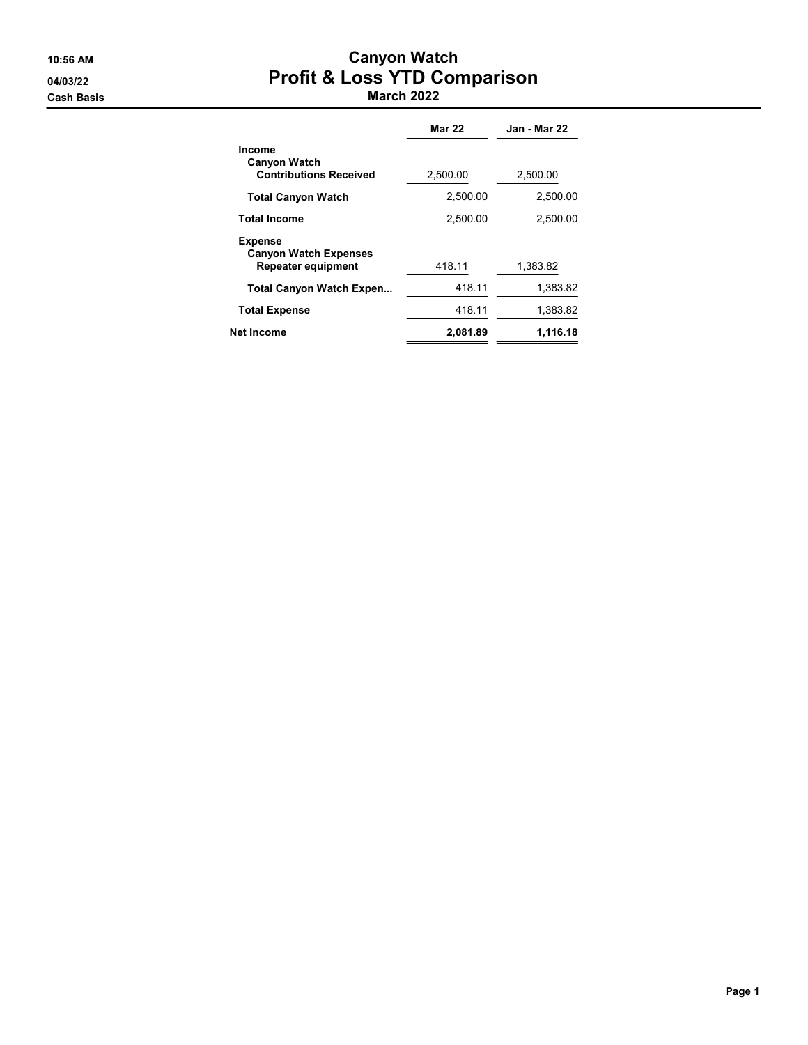#### 10:56 AM Canyon Watch 04/03/22 Profit & Loss YTD Comparison Cash Basis March 2022

|                                                                             | <b>Mar 22</b> | <b>Jan - Mar 22</b> |
|-----------------------------------------------------------------------------|---------------|---------------------|
| Income<br><b>Canyon Watch</b><br><b>Contributions Received</b>              | 2,500.00      | 2,500.00            |
| <b>Total Canyon Watch</b>                                                   | 2,500.00      | 2,500.00            |
| <b>Total Income</b>                                                         | 2.500.00      | 2,500.00            |
| <b>Expense</b><br><b>Canyon Watch Expenses</b><br><b>Repeater equipment</b> | 418.11        | 1,383.82            |
| <b>Total Canyon Watch Expen</b>                                             | 418.11        | 1,383.82            |
| <b>Total Expense</b>                                                        | 418.11        | 1,383.82            |
| <b>Net Income</b>                                                           | 2,081.89      | 1,116.18            |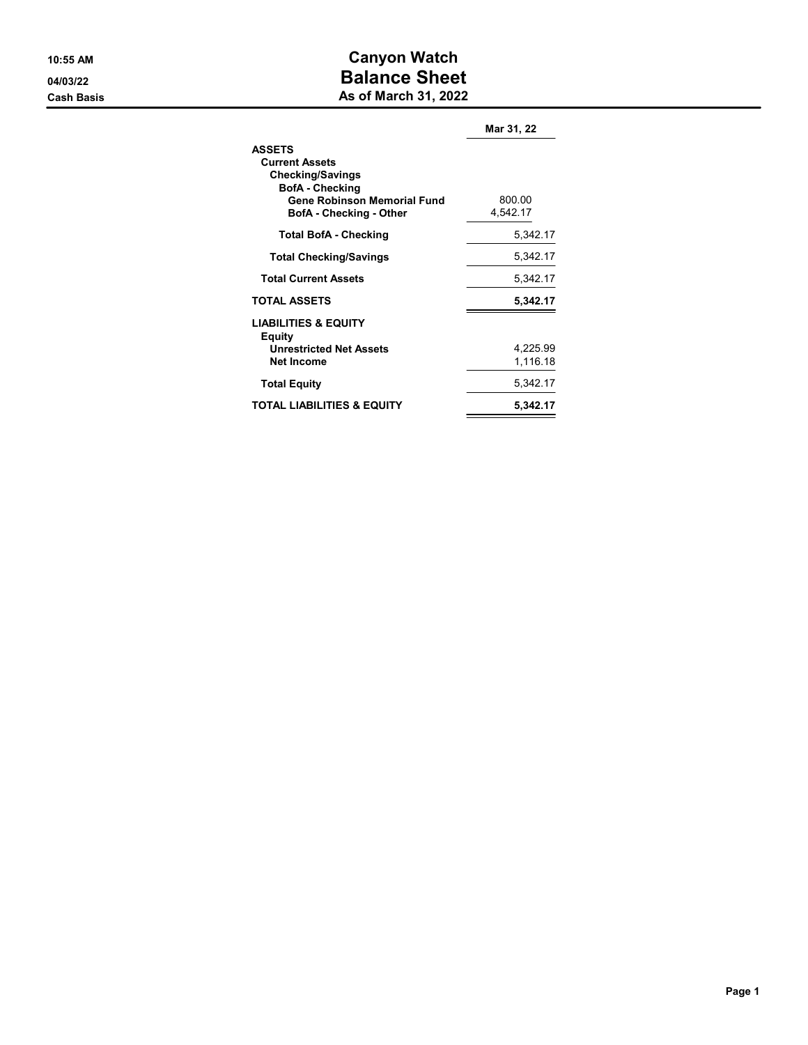### 10:55 AM Canyon Watch 04/03/22 Balance Sheet **Cash Basis** Cash Basis **As of March 31, 2022**

|                                                                                             | Mar 31, 22           |
|---------------------------------------------------------------------------------------------|----------------------|
| <b>ASSETS</b><br><b>Current Assets</b><br><b>Checking/Savings</b><br><b>BofA</b> - Checking |                      |
| <b>Gene Robinson Memorial Fund</b><br><b>BofA</b> - Checking - Other                        | 800.00<br>4,542.17   |
| <b>Total BofA - Checking</b>                                                                | 5,342.17             |
| <b>Total Checking/Savings</b>                                                               | 5,342.17             |
| <b>Total Current Assets</b>                                                                 | 5,342.17             |
| <b>TOTAL ASSETS</b>                                                                         | 5,342.17             |
| <b>LIABILITIES &amp; EQUITY</b><br>Equity                                                   |                      |
| <b>Unrestricted Net Assets</b><br><b>Net Income</b>                                         | 4,225.99<br>1,116.18 |
| <b>Total Equity</b>                                                                         | 5,342.17             |
| TOTAL LIABILITIES & EQUITY                                                                  | 5,342.17             |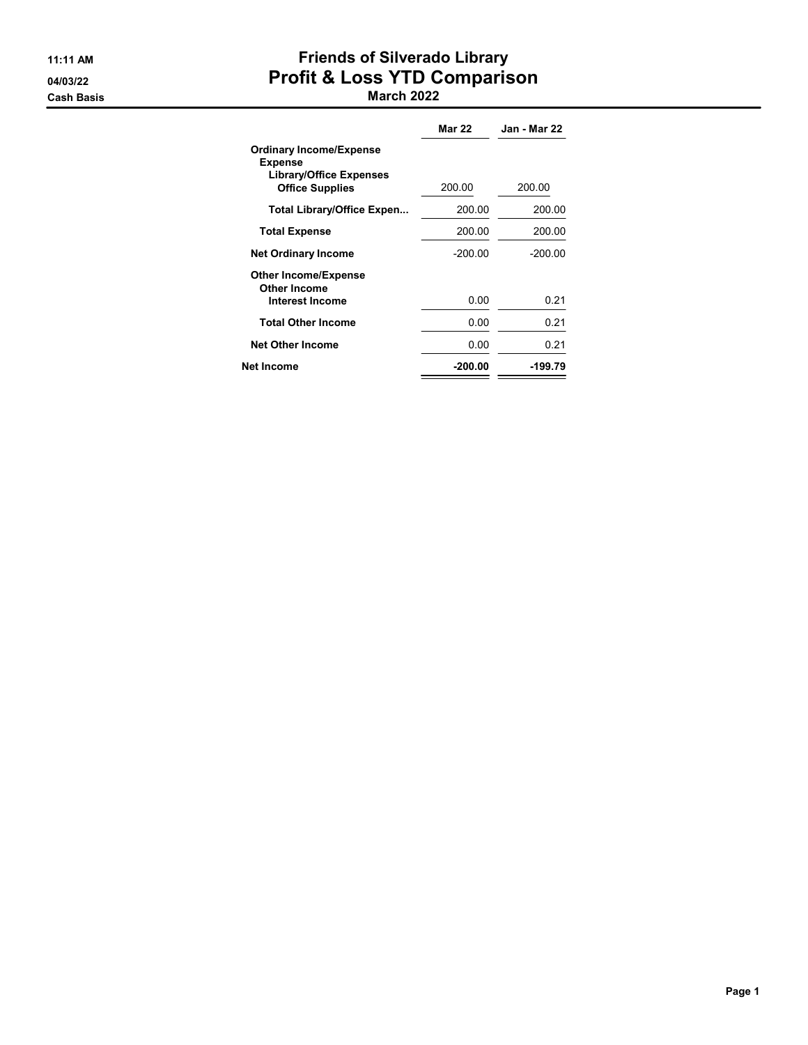# 11:11 AM **Friends of Silverado Library** 04/03/22 Profit & Loss YTD Comparison

#### Cash Basis March 2022

|                                                                                                              | <b>Mar 22</b> | Jan - Mar 22 |
|--------------------------------------------------------------------------------------------------------------|---------------|--------------|
| <b>Ordinary Income/Expense</b><br><b>Expense</b><br><b>Library/Office Expenses</b><br><b>Office Supplies</b> | 200.00        | 200.00       |
| <b>Total Library/Office Expen</b>                                                                            | 200.00        | 200.00       |
| <b>Total Expense</b>                                                                                         | 200.00        | 200.00       |
| <b>Net Ordinary Income</b>                                                                                   | $-200.00$     | $-200.00$    |
| <b>Other Income/Expense</b><br><b>Other Income</b>                                                           |               |              |
| Interest Income                                                                                              | 0.00          | 0.21         |
| <b>Total Other Income</b>                                                                                    | 0.00          | 0.21         |
| <b>Net Other Income</b>                                                                                      | 0.00          | 0.21         |
| Net Income                                                                                                   | -200.00       | -199.79      |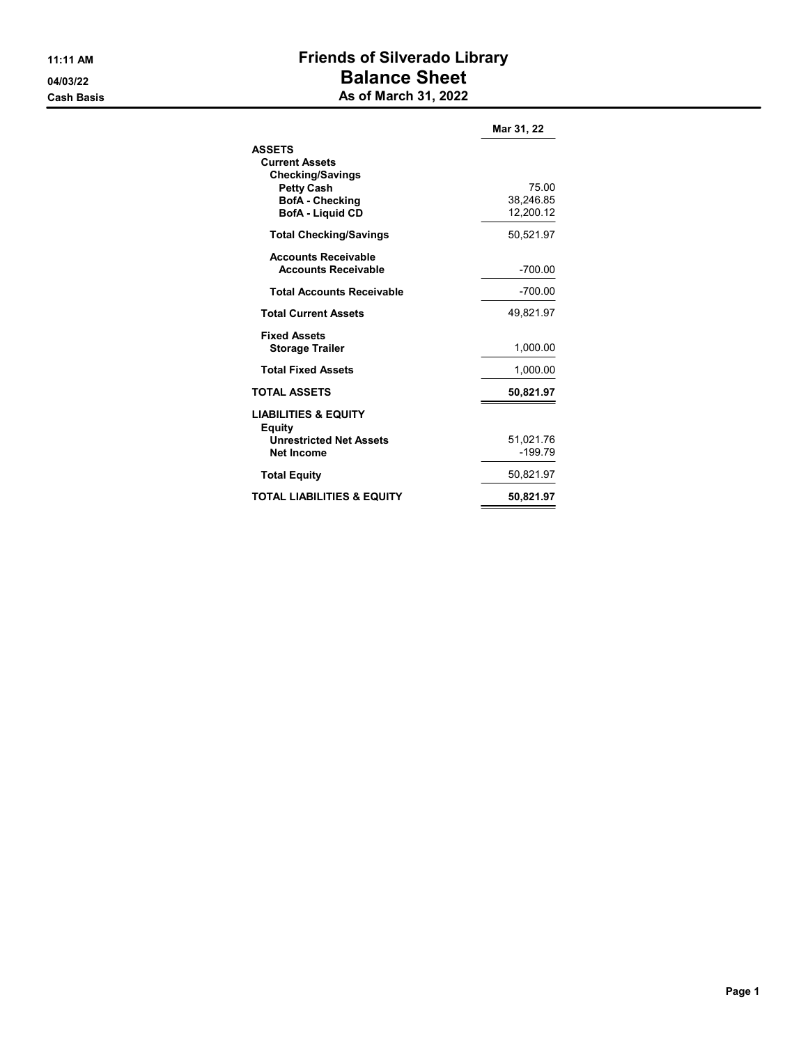# 11:11 AM **Friends of Silverado Library** 04/03/22 Balance Sheet **Cash Basis** Cash Basis **As of March 31, 2022**

|                                                                                                                                             | Mar 31, 22                      |
|---------------------------------------------------------------------------------------------------------------------------------------------|---------------------------------|
| <b>ASSETS</b><br><b>Current Assets</b><br><b>Checking/Savings</b><br><b>Petty Cash</b><br><b>BofA</b> - Checking<br><b>BofA - Liquid CD</b> | 75.00<br>38,246.85<br>12,200.12 |
| <b>Total Checking/Savings</b>                                                                                                               | 50,521.97                       |
| <b>Accounts Receivable</b><br><b>Accounts Receivable</b>                                                                                    | $-700.00$                       |
| <b>Total Accounts Receivable</b>                                                                                                            | -700.00                         |
| <b>Total Current Assets</b>                                                                                                                 | 49,821.97                       |
| <b>Fixed Assets</b><br><b>Storage Trailer</b>                                                                                               | 1.000.00                        |
| <b>Total Fixed Assets</b>                                                                                                                   | 1,000.00                        |
| <b>TOTAL ASSETS</b>                                                                                                                         | 50,821.97                       |
| <b>LIABILITIES &amp; EQUITY</b><br>Equity<br><b>Unrestricted Net Assets</b><br><b>Net Income</b>                                            | 51,021.76<br>$-199.79$          |
| <b>Total Equity</b>                                                                                                                         | 50,821.97                       |
| <b>TOTAL LIABILITIES &amp; EQUITY</b>                                                                                                       | 50,821.97                       |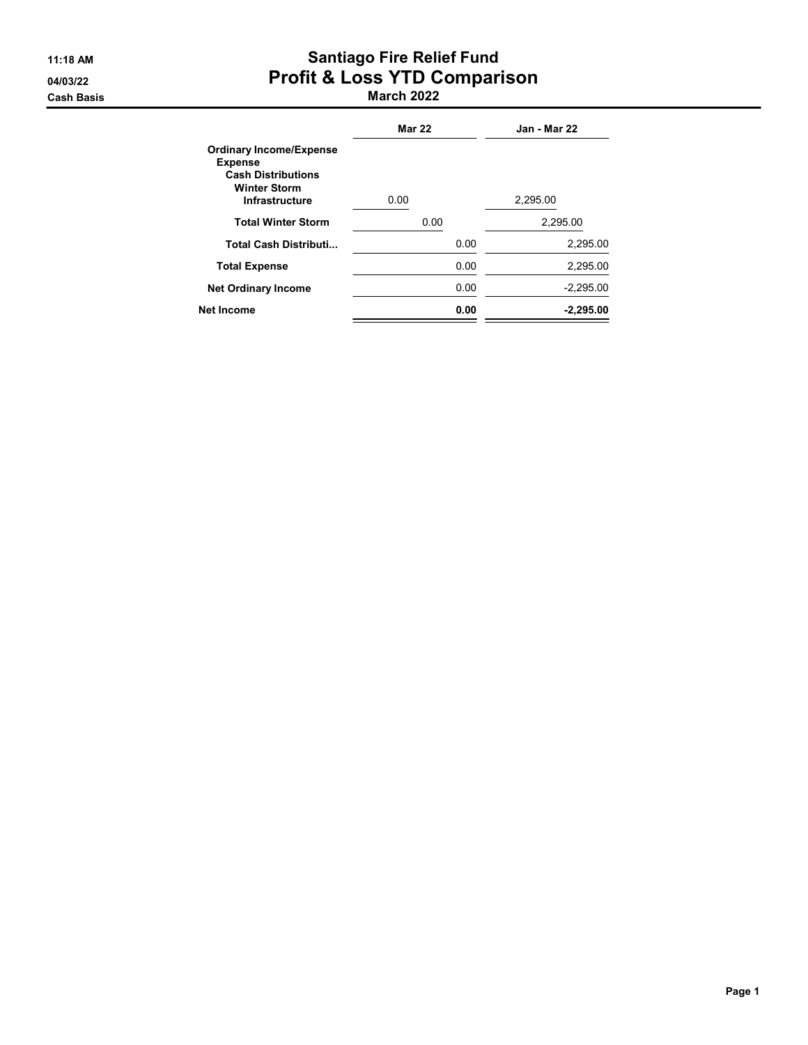# 11:18 AM **Santiago Fire Relief Fund** 04/03/22 Profit & Loss YTD Comparison

Cash Basis March 2022

|                                                                                                                        | <b>Mar 22</b> | Jan - Mar 22 |
|------------------------------------------------------------------------------------------------------------------------|---------------|--------------|
| <b>Ordinary Income/Expense</b><br><b>Expense</b><br><b>Cash Distributions</b><br><b>Winter Storm</b><br>Infrastructure | 0.00          | 2,295.00     |
| <b>Total Winter Storm</b>                                                                                              | 0.00          | 2,295.00     |
| <b>Total Cash Distributi</b>                                                                                           | 0.00          | 2,295.00     |
| <b>Total Expense</b>                                                                                                   | 0.00          | 2,295.00     |
| <b>Net Ordinary Income</b>                                                                                             | 0.00          | $-2,295.00$  |
| <b>Net Income</b>                                                                                                      | 0.00          | $-2,295.00$  |